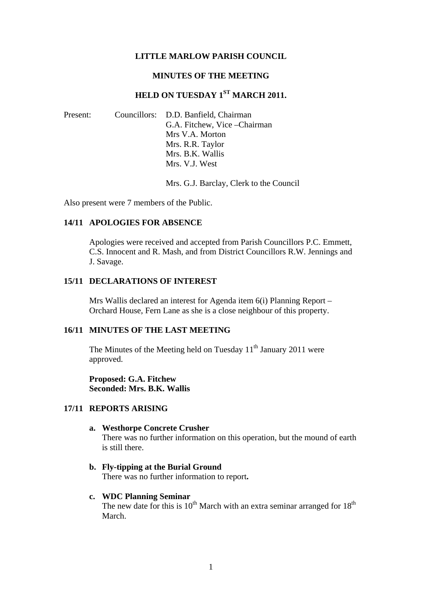### **LITTLE MARLOW PARISH COUNCIL**

#### **MINUTES OF THE MEETING**

# **HELD ON TUESDAY 1ST MARCH 2011.**

| Present: | Councillors: D.D. Banfield, Chairman |
|----------|--------------------------------------|
|          | G.A. Fitchew, Vice - Chairman        |
|          | Mrs V.A. Morton                      |
|          | Mrs. R.R. Taylor                     |
|          | Mrs. B.K. Wallis                     |
|          | Mrs. V.J. West                       |

Mrs. G.J. Barclay, Clerk to the Council

Also present were 7 members of the Public.

## **14/11 APOLOGIES FOR ABSENCE**

Apologies were received and accepted from Parish Councillors P.C. Emmett, C.S. Innocent and R. Mash, and from District Councillors R.W. Jennings and J. Savage.

#### **15/11 DECLARATIONS OF INTEREST**

Mrs Wallis declared an interest for Agenda item 6(i) Planning Report – Orchard House, Fern Lane as she is a close neighbour of this property.

## **16/11 MINUTES OF THE LAST MEETING**

The Minutes of the Meeting held on Tuesday 11<sup>th</sup> January 2011 were approved.

**Proposed: G.A. Fitchew Seconded: Mrs. B.K. Wallis** 

## **17/11 REPORTS ARISING**

#### **a. Westhorpe Concrete Crusher**

There was no further information on this operation, but the mound of earth is still there.

**b. Fly-tipping at the Burial Ground**  There was no further information to report**.** 

#### **c. WDC Planning Seminar**

The new date for this is  $10^{th}$  March with an extra seminar arranged for  $18^{th}$ March.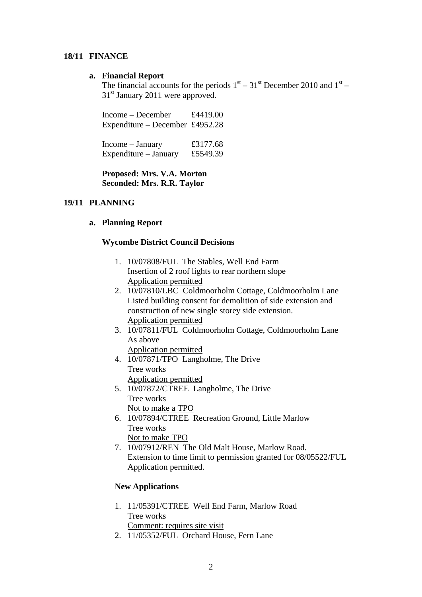## **18/11 FINANCE**

## **a. Financial Report**

The financial accounts for the periods  $1<sup>st</sup> - 31<sup>st</sup>$  December 2010 and  $1<sup>st</sup> -$ 31<sup>st</sup> January 2011 were approved.

| Income – December               | £4419.00 |
|---------------------------------|----------|
| Expenditure – December £4952.28 |          |
|                                 |          |

Income – January  $£3177.68$ Expenditure – January £5549.39

## **Proposed: Mrs. V.A. Morton Seconded: Mrs. R.R. Taylor**

## **19/11 PLANNING**

## **a. Planning Report**

## **Wycombe District Council Decisions**

- 1. 10/07808/FUL The Stables, Well End Farm Insertion of 2 roof lights to rear northern slope Application permitted
- 2. 10/07810/LBC Coldmoorholm Cottage, Coldmoorholm Lane Listed building consent for demolition of side extension and construction of new single storey side extension. Application permitted
- 3. 10/07811/FUL Coldmoorholm Cottage, Coldmoorholm Lane As above
	- Application permitted
- 4. 10/07871/TPO Langholme, The Drive Tree works Application permitted
- 5. 10/07872/CTREE Langholme, The Drive Tree works Not to make a TPO
- 6. 10/07894/CTREE Recreation Ground, Little Marlow Tree works Not to make TPO
- 7. 10/07912/REN The Old Malt House, Marlow Road. Extension to time limit to permission granted for 08/05522/FUL Application permitted.

## **New Applications**

- 1. 11/05391/CTREE Well End Farm, Marlow Road Tree works Comment: requires site visit
- 2. 11/05352/FUL Orchard House, Fern Lane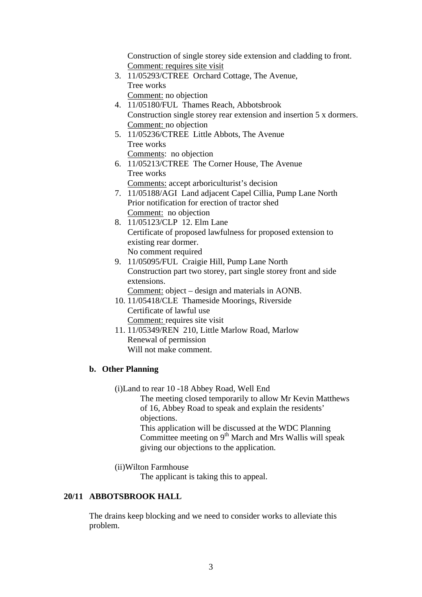Construction of single storey side extension and cladding to front. Comment: requires site visit

- 3. 11/05293/CTREE Orchard Cottage, The Avenue, Tree works Comment: no objection
- 4. 11/05180/FUL Thames Reach, Abbotsbrook Construction single storey rear extension and insertion 5 x dormers. Comment: no objection
- 5. 11/05236/CTREE Little Abbots, The Avenue Tree works Comments: no objection
- 6. 11/05213/CTREE The Corner House, The Avenue Tree works Comments: accept arboriculturist's decision
- 7. 11/05188/AGI Land adjacent Capel Cillia, Pump Lane North Prior notification for erection of tractor shed Comment: no objection
- 8. 11/05123/CLP 12. Elm Lane Certificate of proposed lawfulness for proposed extension to existing rear dormer. No comment required
- 9. 11/05095/FUL Craigie Hill, Pump Lane North Construction part two storey, part single storey front and side extensions.

Comment: object – design and materials in AONB.

- 10. 11/05418/CLE Thameside Moorings, Riverside Certificate of lawful use Comment: requires site visit
- 11. 11/05349/REN 210, Little Marlow Road, Marlow Renewal of permission Will not make comment.

## **b. Other Planning**

(i)Land to rear 10 -18 Abbey Road, Well End

The meeting closed temporarily to allow Mr Kevin Matthews of 16, Abbey Road to speak and explain the residents' objections. This application will be discussed at the WDC Planning Committee meeting on  $9<sup>th</sup>$  March and Mrs Wallis will speak

giving our objections to the application.

(ii)Wilton Farmhouse

The applicant is taking this to appeal.

## **20/11 ABBOTSBROOK HALL**

The drains keep blocking and we need to consider works to alleviate this problem.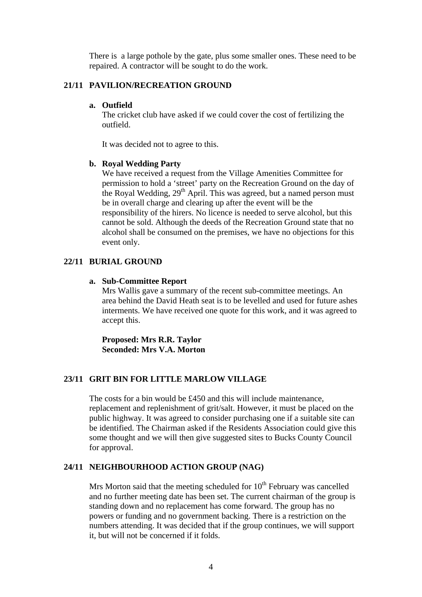There is a large pothole by the gate, plus some smaller ones. These need to be repaired. A contractor will be sought to do the work.

## **21/11 PAVILION/RECREATION GROUND**

#### **a. Outfield**

The cricket club have asked if we could cover the cost of fertilizing the outfield.

It was decided not to agree to this.

#### **b. Royal Wedding Party**

We have received a request from the Village Amenities Committee for permission to hold a 'street' party on the Recreation Ground on the day of the Royal Wedding,  $29<sup>th</sup>$  April. This was agreed, but a named person must be in overall charge and clearing up after the event will be the responsibility of the hirers. No licence is needed to serve alcohol, but this cannot be sold. Although the deeds of the Recreation Ground state that no alcohol shall be consumed on the premises, we have no objections for this event only.

## **22/11 BURIAL GROUND**

#### **a. Sub-Committee Report**

Mrs Wallis gave a summary of the recent sub-committee meetings. An area behind the David Heath seat is to be levelled and used for future ashes interments. We have received one quote for this work, and it was agreed to accept this.

**Proposed: Mrs R.R. Taylor Seconded: Mrs V.A. Morton** 

## **23/11 GRIT BIN FOR LITTLE MARLOW VILLAGE**

The costs for a bin would be £450 and this will include maintenance, replacement and replenishment of grit/salt. However, it must be placed on the public highway. It was agreed to consider purchasing one if a suitable site can be identified. The Chairman asked if the Residents Association could give this some thought and we will then give suggested sites to Bucks County Council for approval.

#### **24/11 NEIGHBOURHOOD ACTION GROUP (NAG)**

Mrs Morton said that the meeting scheduled for  $10<sup>th</sup>$  February was cancelled and no further meeting date has been set. The current chairman of the group is standing down and no replacement has come forward. The group has no powers or funding and no government backing. There is a restriction on the numbers attending. It was decided that if the group continues, we will support it, but will not be concerned if it folds.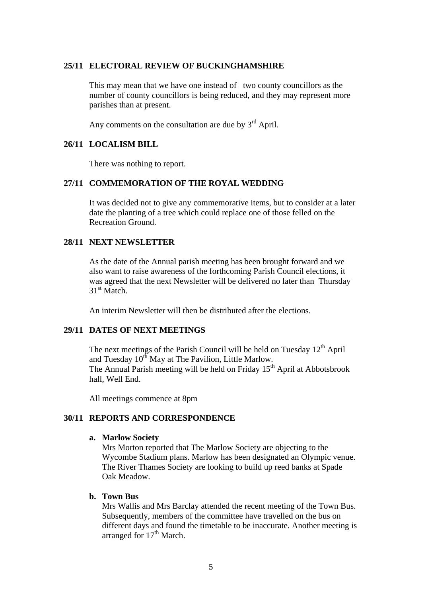#### **25/11 ELECTORAL REVIEW OF BUCKINGHAMSHIRE**

This may mean that we have one instead of two county councillors as the number of county councillors is being reduced, and they may represent more parishes than at present.

Any comments on the consultation are due by  $3<sup>rd</sup>$  April.

### **26/11 LOCALISM BILL**

There was nothing to report.

## **27/11 COMMEMORATION OF THE ROYAL WEDDING**

It was decided not to give any commemorative items, but to consider at a later date the planting of a tree which could replace one of those felled on the Recreation Ground.

## **28/11 NEXT NEWSLETTER**

As the date of the Annual parish meeting has been brought forward and we also want to raise awareness of the forthcoming Parish Council elections, it was agreed that the next Newsletter will be delivered no later than Thursday 31<sup>st</sup> Match.

An interim Newsletter will then be distributed after the elections.

## **29/11 DATES OF NEXT MEETINGS**

The next meetings of the Parish Council will be held on Tuesday  $12<sup>th</sup>$  April and Tuesday  $10^{th}$  May at The Pavilion, Little Marlow. The Annual Parish meeting will be held on Friday 15<sup>th</sup> April at Abbotsbrook hall, Well End.

All meetings commence at 8pm

#### **30/11 REPORTS AND CORRESPONDENCE**

#### **a. Marlow Society**

Mrs Morton reported that The Marlow Society are objecting to the Wycombe Stadium plans. Marlow has been designated an Olympic venue. The River Thames Society are looking to build up reed banks at Spade Oak Meadow.

#### **b. Town Bus**

Mrs Wallis and Mrs Barclay attended the recent meeting of the Town Bus. Subsequently, members of the committee have travelled on the bus on different days and found the timetable to be inaccurate. Another meeting is arranged for  $17<sup>th</sup>$  March.